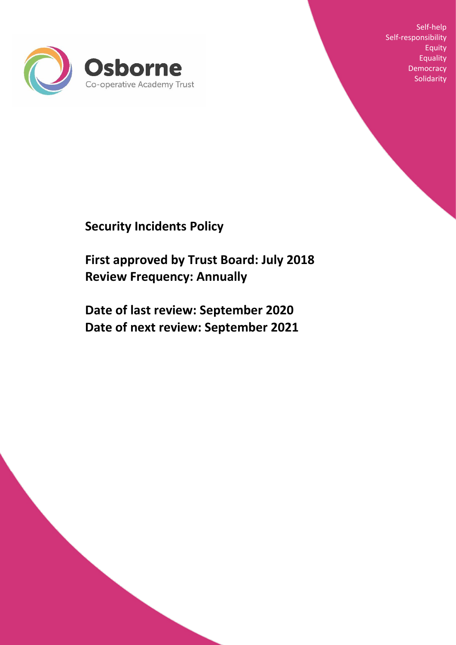

Self-help Self-responsibility Equity **Equality Democracy Solidarity** 

# **Security Incidents Policy**

**First approved by Trust Board: July 2018 Review Frequency: Annually**

**Date of last review: September 2020 Date of next review: September 2021**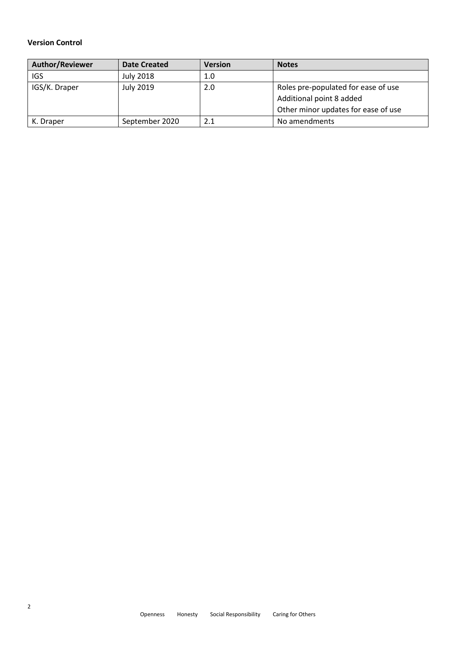# **Version Control**

| <b>Author/Reviewer</b> | <b>Date Created</b> | <b>Version</b> | <b>Notes</b>                        |
|------------------------|---------------------|----------------|-------------------------------------|
| <b>IGS</b>             | July 2018           | 1.0            |                                     |
| IGS/K. Draper          | July 2019           | 2.0            | Roles pre-populated for ease of use |
|                        |                     |                | Additional point 8 added            |
|                        |                     |                | Other minor updates for ease of use |
| K. Draper              | September 2020      | 2.1            | No amendments                       |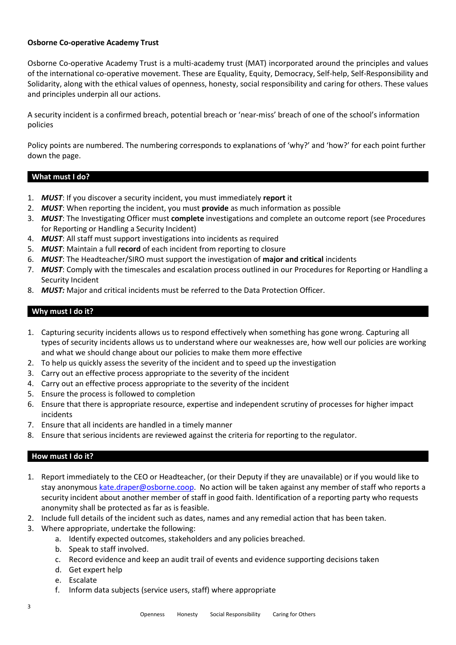### **Osborne Co-operative Academy Trust**

Osborne Co-operative Academy Trust is a multi-academy trust (MAT) incorporated around the principles and values of the international co-operative movement. These are Equality, Equity, Democracy, Self-help, Self-Responsibility and Solidarity, along with the ethical values of openness, honesty, social responsibility and caring for others. These values and principles underpin all our actions.

A security incident is a confirmed breach, potential breach or 'near-miss' breach of one of the school's information policies

Policy points are numbered. The numbering corresponds to explanations of 'why?' and 'how?' for each point further down the page.

## **What must I do?**

- 1. *MUST*: If you discover a security incident, you must immediately **report** it
- 2. *MUST*: When reporting the incident, you must **provide** as much information as possible
- 3. *MUST*: The Investigating Officer must **complete** investigations and complete an outcome report (see Procedures for Reporting or Handling a Security Incident)
- 4. *MUST*: All staff must support investigations into incidents as required
- 5. *MUST*: Maintain a full **record** of each incident from reporting to closure
- 6. *MUST*: The Headteacher/SIRO must support the investigation of **major and critical** incidents
- 7. *MUST*: Comply with the timescales and escalation process outlined in our Procedures for Reporting or Handling a Security Incident
- 8. *MUST:* Major and critical incidents must be referred to the Data Protection Officer.

# **Why must I do it?**

- 1. Capturing security incidents allows us to respond effectively when something has gone wrong. Capturing all types of security incidents allows us to understand where our weaknesses are, how well our policies are working and what we should change about our policies to make them more effective
- 2. To help us quickly assess the severity of the incident and to speed up the investigation
- 3. Carry out an effective process appropriate to the severity of the incident
- 4. Carry out an effective process appropriate to the severity of the incident
- 5. Ensure the process is followed to completion
- 6. Ensure that there is appropriate resource, expertise and independent scrutiny of processes for higher impact incidents
- 7. Ensure that all incidents are handled in a timely manner
- 8. Ensure that serious incidents are reviewed against the criteria for reporting to the regulator.

#### **How must I do it?**

- 1. Report immediately to the CEO or Headteacher, (or their Deputy if they are unavailable) or if you would like to stay anonymous [kate.draper@osborne.coop.](mailto:k.draper@osborne.coop) No action will be taken against any member of staff who reports a security incident about another member of staff in good faith. Identification of a reporting party who requests anonymity shall be protected as far as is feasible.
- 2. Include full details of the incident such as dates, names and any remedial action that has been taken.
- 3. Where appropriate, undertake the following:
	- a. Identify expected outcomes, stakeholders and any policies breached.
	- b. Speak to staff involved.
	- c. Record evidence and keep an audit trail of events and evidence supporting decisions taken
	- d. Get expert help
	- e. Escalate
	- f. Inform data subjects (service users, staff) where appropriate